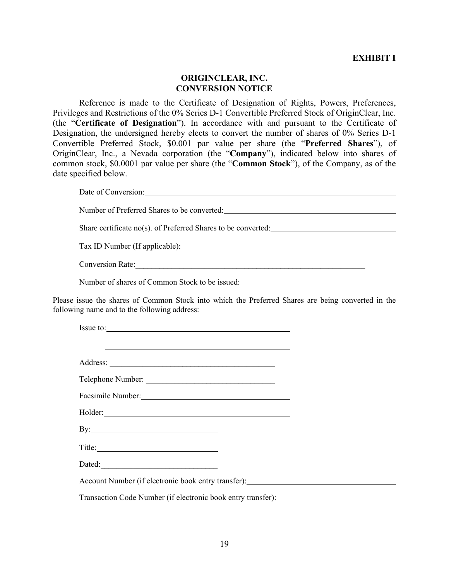## **ORIGINCLEAR, INC. CONVERSION NOTICE**

Reference is made to the Certificate of Designation of Rights, Powers, Preferences, Privileges and Restrictions of the 0% Series D-1 Convertible Preferred Stock of OriginClear, Inc. (the "**Certificate of Designation**"). In accordance with and pursuant to the Certificate of Designation, the undersigned hereby elects to convert the number of shares of 0% Series D-1 Convertible Preferred Stock, \$0.001 par value per share (the "**Preferred Shares**"), of OriginClear, Inc., a Nevada corporation (the "**Company**"), indicated below into shares of common stock, \$0.0001 par value per share (the "**Common Stock**"), of the Company, as of the date specified below.

| Date of Conversion:                                           |  |
|---------------------------------------------------------------|--|
| Number of Preferred Shares to be converted:                   |  |
| Share certificate no(s). of Preferred Shares to be converted: |  |
|                                                               |  |
| <b>Conversion Rate:</b>                                       |  |
| Number of shares of Common Stock to be issued:                |  |
|                                                               |  |

Please issue the shares of Common Stock into which the Preferred Shares are being converted in the following name and to the following address:

| Issue to:                                                                                                                                                                                                                      |  |  |
|--------------------------------------------------------------------------------------------------------------------------------------------------------------------------------------------------------------------------------|--|--|
|                                                                                                                                                                                                                                |  |  |
|                                                                                                                                                                                                                                |  |  |
| Telephone Number:                                                                                                                                                                                                              |  |  |
| Facsimile Number: 1997                                                                                                                                                                                                         |  |  |
| Holder: North Commission and Commission and Commission and Commission and Commission and Commission and Commission and Commission and Commission and Commission and Commission and Commission and Commission and Commission an |  |  |
|                                                                                                                                                                                                                                |  |  |
|                                                                                                                                                                                                                                |  |  |
|                                                                                                                                                                                                                                |  |  |
|                                                                                                                                                                                                                                |  |  |
| Transaction Code Number (if electronic book entry transfer): ___________________                                                                                                                                               |  |  |